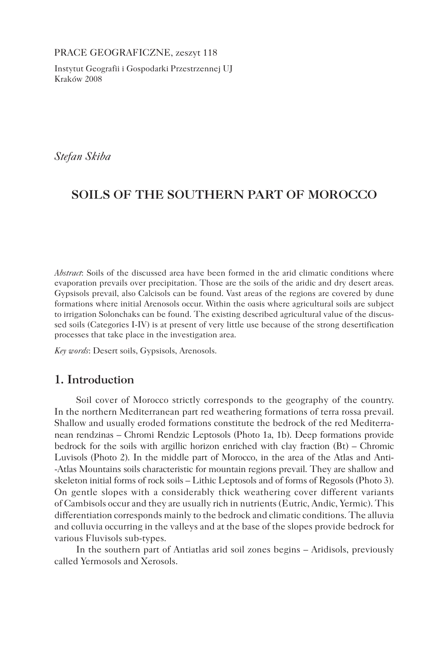PRACE GEOGRAFICZNE, zeszyt 118

Instytut Geografii i Gospodarki Przestrzennej UJ Kraków 2008

*Stefan Skiba*

# **SOILS OF THE SOUTHERN PART OF MOROCCO**

*Abstract*: Soils of the discussed area have been formed in the arid climatic conditions where evaporation prevails over precipitation. Those are the soils of the aridic and dry desert areas. Gypsisols prevail, also Calcisols can be found. Vast areas of the regions are covered by dune formations where initial Arenosols occur. Within the oasis where agricultural soils are subject to irrigation Solonchaks can be found. The existing described agricultural value of the discussed soils (Categories I-IV) is at present of very little use because of the strong desertification processes that take place in the investigation area.

*Key words*: Desert soils, Gypsisols, Arenosols.

## **1. Introduction**

Soil cover of Morocco strictly corresponds to the geography of the country. In the northern Mediterranean part red weathering formations of terra rossa prevail. Shallow and usually eroded formations constitute the bedrock of the red Mediterranean rendzinas – Chromi Rendzic Leptosols (Photo 1a, 1b). Deep formations provide bedrock for the soils with argillic horizon enriched with clay fraction (Bt) – Chromic Luvisols (Photo 2). In the middle part of Morocco, in the area of the Atlas and Anti- -Atlas Mountains soils characteristic for mountain regions prevail. They are shallow and skeleton initial forms of rock soils – Lithic Leptosols and of forms of Regosols (Photo 3). On gentle slopes with a considerably thick weathering cover different variants of Cambisols occur and they are usually rich in nutrients (Eutric, Andic, Yermic). This differentiation corresponds mainly to the bedrock and climatic conditions. The alluvia and colluvia occurring in the valleys and at the base of the slopes provide bedrock for various Fluvisols sub-types.

In the southern part of Antiatlas arid soil zones begins – Aridisols, previously called Yermosols and Xerosols.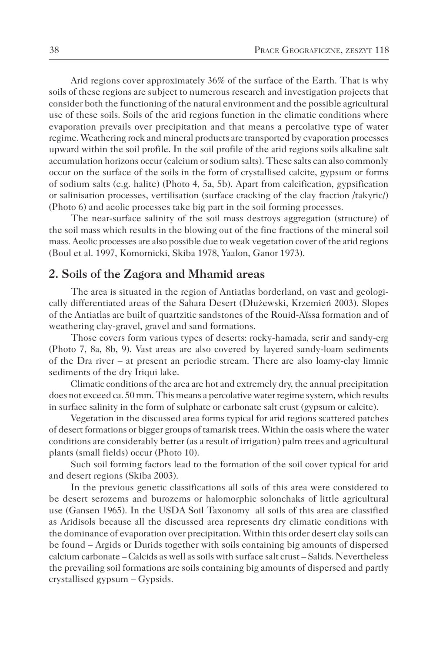Arid regions cover approximately 36% of the surface of the Earth. That is why soils of these regions are subject to numerous research and investigation projects that consider both the functioning of the natural environment and the possible agricultural use of these soils. Soils of the arid regions function in the climatic conditions where evaporation prevails over precipitation and that means a percolative type of water regime. Weathering rock and mineral products are transported by evaporation processes upward within the soil profile. In the soil profile of the arid regions soils alkaline salt accumulation horizons occur (calcium or sodium salts). These salts can also commonly occur on the surface of the soils in the form of crystallised calcite, gypsum or forms of sodium salts (e.g. halite) (Photo 4, 5a, 5b). Apart from calcification, gypsification or salinisation processes, vertilisation (surface cracking of the clay fraction /takyric/) (Photo 6) and aeolic processes take big part in the soil forming processes.

The near-surface salinity of the soil mass destroys aggregation (structure) of the soil mass which results in the blowing out of the fine fractions of the mineral soil mass. Aeolic processes are also possible due to weak vegetation cover of the arid regions (Boul et al. 1997, Komornicki, Skiba 1978, Yaalon, Ganor 1973).

#### **2. Soils of the Zagora and Mhamid areas**

The area is situated in the region of Antiatlas borderland, on vast and geologically differentiated areas of the Sahara Desert (Dłużewski, Krzemień 2003). Slopes of the Antiatlas are built of quartzitic sandstones of the Rouid-Aïssa formation and of weathering clay-gravel, gravel and sand formations.

Those covers form various types of deserts: rocky-hamada, serir and sandy-erg (Photo 7, 8a, 8b, 9). Vast areas are also covered by layered sandy-loam sediments of the Dra river – at present an periodic stream. There are also loamy-clay limnic sediments of the dry Iriqui lake.

Climatic conditions of the area are hot and extremely dry, the annual precipitation does not exceed ca. 50 mm. This means a percolative water regime system, which results in surface salinity in the form of sulphate or carbonate salt crust (gypsum or calcite).

Vegetation in the discussed area forms typical for arid regions scattered patches of desert formations or bigger groups of tamarisk trees. Within the oasis where the water conditions are considerably better (as a result of irrigation) palm trees and agricultural plants (small fields) occur (Photo 10).

Such soil forming factors lead to the formation of the soil cover typical for arid and desert regions (Skiba 2003).

In the previous genetic classifications all soils of this area were considered to be desert serozems and burozems or halomorphic solonchaks of little agricultural use (Gansen 1965). In the USDA Soil Taxonomy all soils of this area are classified as Aridisols because all the discussed area represents dry climatic conditions with the dominance of evaporation over precipitation. Within this order desert clay soils can be found – Argids or Durids together with soils containing big amounts of dispersed calcium carbonate – Calcids as well as soils with surface salt crust – Salids. Nevertheless the prevailing soil formations are soils containing big amounts of dispersed and partly crystallised gypsum – Gypsids.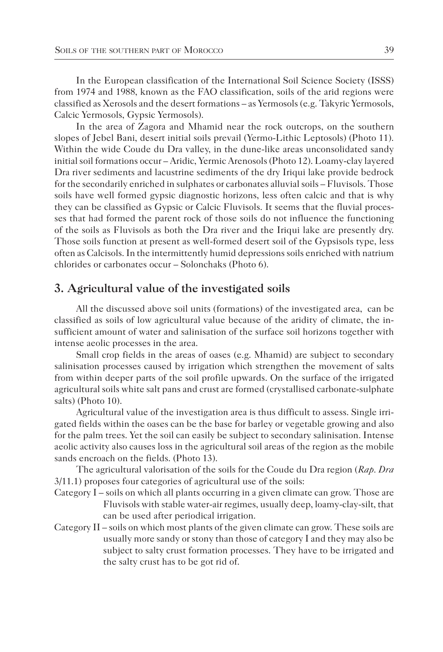In the European classification of the International Soil Science Society (ISSS) from 1974 and 1988, known as the FAO classification, soils of the arid regions were classified as Xerosols and the desert formations – as Yermosols (e.g. Takyric Yermosols, Calcic Yermosols, Gypsic Yermosols).

In the area of Zagora and Mhamid near the rock outcrops, on the southern slopes of Jebel Bani, desert initial soils prevail (Yermo-Lithic Leptosols) (Photo 11). Within the wide Coude du Dra valley, in the dune-like areas unconsolidated sandy initial soil formations occur – Aridic, Yermic Arenosols (Photo 12). Loamy-clay layered Dra river sediments and lacustrine sediments of the dry Iriqui lake provide bedrock for the secondarily enriched in sulphates or carbonates alluvial soils – Fluvisols. Those soils have well formed gypsic diagnostic horizons, less often calcic and that is why they can be classified as Gypsic or Calcic Fluvisols. It seems that the fluvial processes that had formed the parent rock of those soils do not influence the functioning of the soils as Fluvisols as both the Dra river and the Iriqui lake are presently dry. Those soils function at present as well-formed desert soil of the Gypsisols type, less often as Calcisols. In the intermittently humid depressions soils enriched with natrium chlorides or carbonates occur – Solonchaks (Photo 6).

#### **3. Agricultural value of the investigated soils**

All the discussed above soil units (formations) of the investigated area, can be classified as soils of low agricultural value because of the aridity of climate, the insufficient amount of water and salinisation of the surface soil horizons together with intense aeolic processes in the area.

Small crop fields in the areas of oases (e.g. Mhamid) are subject to secondary salinisation processes caused by irrigation which strengthen the movement of salts from within deeper parts of the soil profile upwards. On the surface of the irrigated agricultural soils white salt pans and crust are formed (crystallised carbonate-sulphate salts) (Photo 10).

Agricultural value of the investigation area is thus difficult to assess. Single irrigated fields within the oases can be the base for barley or vegetable growing and also for the palm trees. Yet the soil can easily be subject to secondary salinisation. Intense aeolic activity also causes loss in the agricultural soil areas of the region as the mobile sands encroach on the fields. (Photo 13).

The agricultural valorisation of the soils for the Coude du Dra region (*Rap. Dra* 3/11.1) proposes four categories of agricultural use of the soils:

- Category I soils on which all plants occurring in a given climate can grow. Those are Fluvisols with stable water-air regimes, usually deep, loamy-clay-silt, that can be used after periodical irrigation.
- Category II soils on which most plants of the given climate can grow. These soils are usually more sandy or stony than those of category I and they may also be subject to salty crust formation processes. They have to be irrigated and the salty crust has to be got rid of.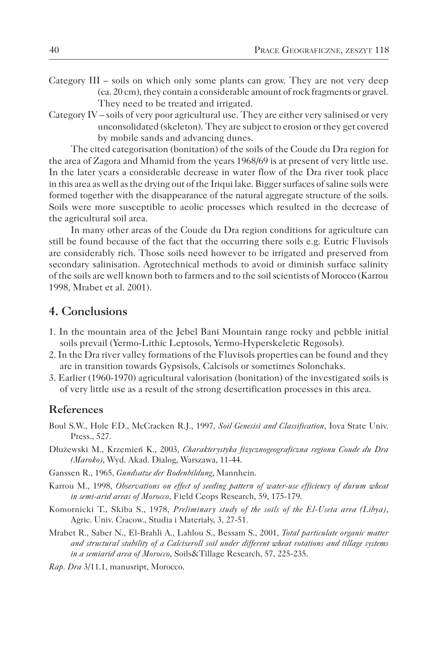- Category III soils on which only some plants can grow. They are not very deep (ca. 20 cm), they contain a considerable amount of rock fragments or gravel. They need to be treated and irrigated.
- Category IV soils of very poor agricultural use. They are either very salinised or very unconsolidated (skeleton). They are subject to erosion or they get covered by mobile sands and advancing dunes.

The cited categorisation (bonitation) of the soils of the Coude du Dra region for the area of Zagora and Mhamid from the years 1968/69 is at present of very little use. In the later years a considerable decrease in water flow of the Dra river took place in this area as well as the drying out of the Iriqui lake. Bigger surfaces of saline soils were formed together with the disappearance of the natural aggregate structure of the soils. Soils were more susceptible to aeolic processes which resulted in the decrease of the agricultural soil area.

In many other areas of the Coude du Dra region conditions for agriculture can still be found because of the fact that the occurring there soils e.g. Eutric Fluvisols are considerably rich. Those soils need however to be irrigated and preserved from secondary salinisation. Agrotechnical methods to avoid or diminish surface salinity of the soils are well known both to farmers and to the soil scientists of Morocco (Karrou 1998, Mrabet et al. 2001).

### **4. Conclusions**

- 1. In the mountain area of the Jebel Bani Mountain range rocky and pebble initial soils prevail (Yermo-Lithic Leptosols, Yermo-Hyperskeletic Regosols).
- 2. In the Dra river valley formations of the Fluvisols properties can be found and they are in transition towards Gypsisols, Calcisols or sometimes Solonchaks.
- 3. Earlier (1960-1970) agricultural valorisation (bonitation) of the investigated soils is of very little use as a result of the strong desertification processes in this area.

#### **References**

- Boul S.W., Hole F.D., McCracken R.J., 1997, *Soil Genesisi and Classification*, Iova State Univ. Press., 527.
- Dłużewski M., Krzemień K., 2003, *Charakterystyka fizycznogeograficzna regionu Coude du Dra (Maroko)*, Wyd. Akad. Dialog, Warszawa, 11-44.
- Ganssen R., 1965, *Gundsatze der Bodenbildung*, Mannhein.
- Karrou M., 1998, *Observations on effect of seeding pattern of water-use efficiency of durum wheat in semi-arid areas of Morocco*, Field Ceops Research, 59, 175-179.
- Komornicki T., Skiba S., 1978, *Preliminary study of the soils of the El-Useta area (Libya)*, Agric. Univ. Cracow., Studia i Materiały, 3, 27-51.
- Mrabet R., Saber N., El-Brahli A., Lahlou S., Bessam S., 2001, *Total particulate organic matter and structural stability of a Calcixeroll soil under different wheat rotations and tillage systems in a semiarid area of Morocco*, Soils&Tillage Research, 57, 225-235.
- *Rap. Dra* 3/11.1, manusript, Morocco.